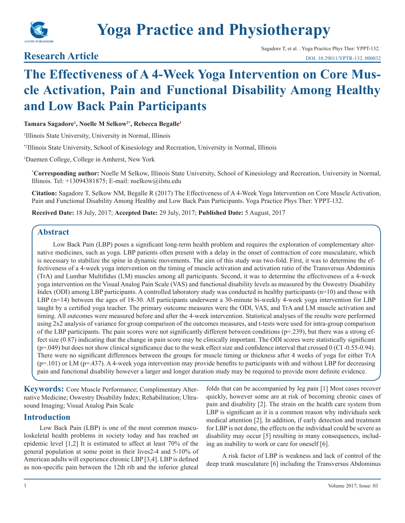

# **Yoga Practice and Physiotherapy**

## **Research Article**

## **The Effectiveness of A 4-Week Yoga Intervention on Core Muscle Activation, Pain and Functional Disability Among Healthy and Low Back Pain Participants**

**Tamara Sagadore1 , Noelle M Selkow2\*, Rebecca Begalle3**

1 Illinois State University, University in Normal, Illinois

\*2Illinois State University, School of Kinesiology and Recreation, University in Normal, Illinois

3 Daemen College, College in Amherst, New York

**\* Corresponding author:** Noelle M Selkow, Illinois State University, School of Kinesiology and Recreation, University in Normal, Illinois. Tel: +13094381875; E-mail: nselkow@ilstu.edu

**Citation:** Sagadore T, Selkow NM, Begalle R (2017) The Effectiveness of A 4-Week Yoga Intervention on Core Muscle Activation, Pain and Functional Disability Among Healthy and Low Back Pain Participants. Yoga Practice Phys Ther: YPPT-132.

**Received Date:** 18 July, 2017; **Accepted Date:** 29 July, 2017; **Published Date:** 5 August, 2017

## **Abstract**

Low Back Pain (LBP) poses a significant long-term health problem and requires the exploration of complementary alternative medicines, such as yoga. LBP patients often present with a delay in the onset of contraction of core musculature, which is necessary to stabilize the spine in dynamic movements. The aim of this study was two-fold. First, it was to determine the effectiveness of a 4-week yoga intervention on the timing of muscle activation and activation ratio of the Transversus Abdominis (TrA) and Lumbar Multifidus (LM) muscles among all participants. Second, it was to determine the effectiveness of a 4-week yoga intervention on the Visual Analog Pain Scale (VAS) and functional disability levels as measured by the Oswestry Disability Index (ODI) among LBP participants. A controlled laboratory study was conducted in healthy participants (n=10) and those with LBP (n=14) between the ages of 18-30. All participants underwent a 30-minute bi-weekly 4-week yoga intervention for LBP taught by a certified yoga teacher. The primary outcome measures were the ODI, VAS, and TrA and LM muscle activation and timing. All outcomes were measured before and after the 4-week intervention. Statistical analyses of the results were performed using 2x2 analysis of variance for group comparison of the outcomes measures, and t-tests were used for intra-group comparison of the LBP participants. The pain scores were not significantly different between conditions (p=.239), but there was a strong effect size (0.87) indicating that the change in pain score may be clinically important. The ODI scores were statistically significant (p=.049) but does not show clinical significance due to the weak effect size and confidence interval that crossed 0 (CI -0.55-0.94). There were no significant differences between the groups for muscle timing or thickness after 4 weeks of yoga for either TrA  $(p=101)$  or LM  $(p=437)$ . A 4-week yoga intervention may provide benefits to participants with and without LBP for decreasing pain and functional disability however a larger and longer duration study may be required to provide more definite evidence.

**Keywords:** Core Muscle Performance; Complimentary Alternative Medicine; Oswestry Disability Index; Rehabilitation; Ultrasound Imaging; Visual Analog Pain Scale

## **Introduction**

Low Back Pain (LBP) is one of the most common musculoskeletal health problems in society today and has reached an epidemic level [1,2] It is estimated to affect at least 70% of the general population at some point in their lives2-4 and 5-10% of American adults will experience chronic LBP [3,4]. LBP is defined as non-specific pain between the 12th rib and the inferior gluteal

folds that can be accompanied by leg pain [1] Most cases recover quickly, however some are at risk of becoming chronic cases of pain and disability [2]. The strain on the health care system from LBP is significant as it is a common reason why individuals seek medical attention [2]. In addition, if early detection and treatment for LBP is not done, the effects on the individual could be severe as disability may occur [5] resulting in many consequences, including an inability to work or care for oneself [6].

A risk factor of LBP is weakness and lack of control of the deep trunk musculature [6] including the Transversus Abdominus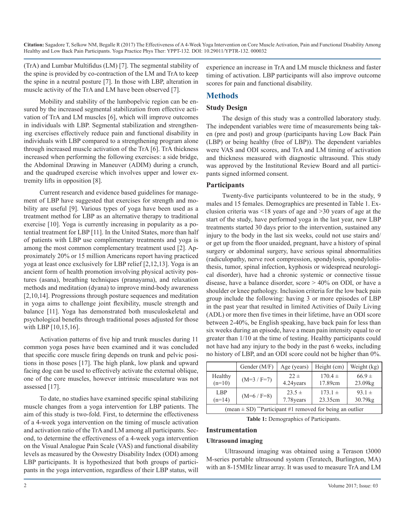(TrA) and Lumbar Multifidus (LM) [7]. The segmental stability of the spine is provided by co-contraction of the LM and TrA to keep the spine in a neutral posture [7]. In those with LBP, alteration in muscle activity of the TrA and LM have been observed [7].

Mobility and stability of the lumbopelvic region can be ensured by the increased segmental stabilization from effective activation of TrA and LM muscles [6], which will improve outcomes in individuals with LBP. Segmental stabilization and strengthening exercises effectively reduce pain and functional disability in individuals with LBP compared to a strengthening program alone through increased muscle activation of the TrA [6]. TrA thickness increased when performing the following exercises: a side bridge, the Abdominal Drawing in Maneuver (ADIM) during a crunch, and the quadruped exercise which involves upper and lower extremity lifts in opposition [8].

Current research and evidence based guidelines for management of LBP have suggested that exercises for strength and mobility are useful [9]. Various types of yoga have been used as a treatment method for LBP as an alternative therapy to traditional exercise [10]. Yoga is currently increasing in popularity as a potential treatment for LBP [11]. In the United States, more than half of patients with LBP use complimentary treatments and yoga is among the most common complementary treatment used [2]. Approximately 20% or 15 million Americans report having practiced yoga at least once exclusively for LBP relief [2,12,13]. Yoga is an ancient form of health promotion involving physical activity postures (asana), breathing techniques (pranayama), and relaxation methods and meditation (dyana) to improve mind-body awareness [2,10,14]. Progressions through posture sequences and meditation in yoga aims to challenge joint flexibility, muscle strength and balance [11]. Yoga has demonstrated both musculoskeletal and psychological benefits through traditional poses adjusted for those with LBP [10,15,16].

Activation patterns of five hip and trunk muscles during 11 common yoga poses have been examined and it was concluded that specific core muscle firing depends on trunk and pelvic positions in those poses [17]. The high plank, low plank and upward facing dog can be used to effectively activate the external oblique, one of the core muscles, however intrinsic musculature was not assessed [17].

To date, no studies have examined specific spinal stabilizing muscle changes from a yoga intervention for LBP patients. The aim of this study is two-fold. First, to determine the effectiveness of a 4-week yoga intervention on the timing of muscle activation and activation ratio of the TrA and LM among all participants. Second, to determine the effectiveness of a 4-week yoga intervention on the Visual Analogue Pain Scale (VAS) and functional disability levels as measured by the Oswestry Disability Index (ODI) among LBP participants. It is hypothesized that both groups of participants in the yoga intervention, regardless of their LBP status, will

experience an increase in TrA and LM muscle thickness and faster timing of activation. LBP participants will also improve outcome scores for pain and functional disability.

## **Methods**

#### **Study Design**

The design of this study was a controlled laboratory study. The independent variables were time of measurements being taken (pre and post) and group (participants having Low Back Pain (LBP) or being healthy (free of LBP)). The dependent variables were VAS and ODI scores, and TrA and LM timing of activation and thickness measured with diagnostic ultrasound. This study was approved by the Institutional Review Board and all participants signed informed consent.

#### **Participants**

Twenty-five participants volunteered to be in the study, 9 males and 15 females. Demographics are presented in Table 1. Exclusion criteria was <18 years of age and >30 years of age at the start of the study, have performed yoga in the last year, new LBP treatments started 30 days prior to the intervention, sustained any injury to the body in the last six weeks, could not use stairs and/ or get up from the floor unaided, pregnant, have a history of spinal surgery or abdominal surgery, have serious spinal abnormalities (radiculopathy, nerve root compression, spondylosis, spondylolisthesis, tumor, spinal infection, kyphosis or widespread neurological disorder), have had a chronic systemic or connective tissue disease, have a balance disorder, score > 40% on ODI, or have a shoulder or knee pathology. Inclusion criteria for the low back pain group include the following: having 3 or more episodes of LBP in the past year that resulted in limited Activities of Daily Living (ADL) or more then five times in their lifetime, have an ODI score between 2-40%, be English speaking, have back pain for less than six weeks during an episode, have a mean pain intensity equal to or greater than 1/10 at the time of testing. Healthy participants could not have had any injury to the body in the past 6 weeks, including no history of LBP, and an ODI score could not be higher than 0%.

|                                                                           | Gender (M/F)  | Age (years) | Height (cm) | Weight (kg) |
|---------------------------------------------------------------------------|---------------|-------------|-------------|-------------|
| Healthy                                                                   | $(M=3 / F=7)$ | $22 \pm$    | $170.4 \pm$ | $66.9 \pm$  |
| $(n=10)$                                                                  |               | 4.24years   | 17.89cm     | 23.09kg     |
| LBP                                                                       | $(M=6 / F=8)$ | $23.5 \pm$  | $173.1 \pm$ | $93.1 \pm$  |
| $(n=14)$                                                                  |               | 7.78 years  | 23.35cm     | 30.79kg     |
| (mean $\pm$ SD) <sup>**</sup> Participant #1 removed for being an outlier |               |             |             |             |

**Table 1:** Demographics of Participants.

#### **Instrumentation**

#### **Ultrasound imaging**

 Ultrasound imaging was obtained using a Terason t3000 M-series portable ultrasound system (Teratech, Burlington, MA) with an 8-15MHz linear array. It was used to measure TrA and LM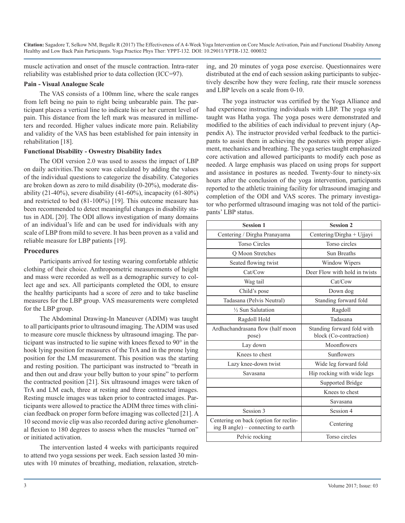muscle activation and onset of the muscle contraction. Intra-rater reliability was established prior to data collection (ICC=97).

#### **Pain - Visual Analogue Scale**

The VAS consists of a 100mm line, where the scale ranges from left being no pain to right being unbearable pain. The participant places a vertical line to indicate his or her current level of pain. This distance from the left mark was measured in millimeters and recorded. Higher values indicate more pain. Reliability and validity of the VAS has been established for pain intensity in rehabilitation [18].

#### **Functional Disability - Oswestry Disability Index**

The ODI version 2.0 was used to assess the impact of LBP on daily activities.The score was calculated by adding the values of the individual questions to categorize the disability. Categories are broken down as zero to mild disability (0-20%), moderate disability (21-40%), severe disability (41-60%), incapacity (61-80%) and restricted to bed (81-100%) [19]. This outcome measure has been recommended to detect meaningful changes in disability status in ADL [20]. The ODI allows investigation of many domains of an individual's life and can be used for individuals with any scale of LBP from mild to severe. It has been proven as a valid and reliable measure for LBP patients [19].

#### **Procedures**

Participants arrived for testing wearing comfortable athletic clothing of their choice. Anthropometric measurements of height and mass were recorded as well as a demographic survey to collect age and sex. All participants completed the ODI, to ensure the healthy participants had a score of zero and to take baseline measures for the LBP group. VAS measurements were completed for the LBP group.

The Abdominal Drawing-In Maneuver (ADIM) was taught to all participants prior to ultrasound imaging. The ADIM was used to measure core muscle thickness by ultrasound imaging. The participant was instructed to lie supine with knees flexed to 90° in the hook lying position for measures of the TrA and in the prone lying position for the LM measurement. This position was the starting and resting position. The participant was instructed to "breath in and then out and draw your belly button to your spine" to perform the contracted position [21]. Six ultrasound images were taken of TrA and LM each, three at resting and three contracted images. Resting muscle images was taken prior to contracted images. Participants were allowed to practice the ADIM three times with clinician feedback on proper form before imaging was collected [21]. A 10 second movie clip was also recorded during active glenohumeral flexion to 180 degrees to assess when the muscles "turned on" or initiated activation.

The intervention lasted 4 weeks with participants required to attend two yoga sessions per week. Each session lasted 30 minutes with 10 minutes of breathing, mediation, relaxation, stretching, and 20 minutes of yoga pose exercise. Questionnaires were distributed at the end of each session asking participants to subjectively describe how they were feeling, rate their muscle soreness and LBP levels on a scale from 0-10.

The yoga instructor was certified by the Yoga Alliance and had experience instructing individuals with LBP. The yoga style taught was Hatha yoga. The yoga poses were demonstrated and modified to the abilities of each individual to prevent injury (Appendix A). The instructor provided verbal feedback to the participants to assist them in achieving the postures with proper alignment, mechanics and breathing. The yoga series taught emphasized core activation and allowed participants to modify each pose as needed. A large emphasis was placed on using props for support and assistance in postures as needed. Twenty-four to ninety-six hours after the conclusion of the yoga intervention, participants reported to the athletic training facility for ultrasound imaging and completion of the ODI and VAS scores. The primary investigator who performed ultrasound imaging was not told of the participants' LBP status.

| <b>Session 1</b>                                                            | <b>Session 2</b>                                     |
|-----------------------------------------------------------------------------|------------------------------------------------------|
| Centering / Dirgha Pranayama                                                | Centering/Dirgha + Ujjayi                            |
| <b>Torso Circles</b>                                                        | Torso circles                                        |
| Q Moon Stretches                                                            | <b>Sun Breaths</b>                                   |
| Seated flowing twist                                                        | Window Wipers                                        |
| Cat/Cow                                                                     | Deer Flow with hold in twists                        |
| Wag tail                                                                    | Cat/Cow                                              |
| Child's pose                                                                | Down dog                                             |
| Tadasana (Pelvis Neutral)                                                   | Standing forward fold                                |
| 1/2 Sun Salutation                                                          | Ragdoll                                              |
| Ragdoll Hold                                                                | Tadasana                                             |
| Ardhachandrasana flow (half moon<br>pose)                                   | Standing forward fold with<br>block (Co-contraction) |
| Lay down                                                                    | Moonflowers                                          |
| Knees to chest                                                              | <b>Sunflowers</b>                                    |
| Lazy knee-down twist                                                        | Wide leg forward fold                                |
| Savasana                                                                    | Hip rocking with wide legs                           |
|                                                                             | <b>Supported Bridge</b>                              |
|                                                                             | Knees to chest                                       |
|                                                                             | Savasana                                             |
| Session 3                                                                   | Session 4                                            |
| Centering on back (option for reclin-<br>ing B angle) – connecting to earth | Centering                                            |
| Pelvic rocking                                                              | Torso circles                                        |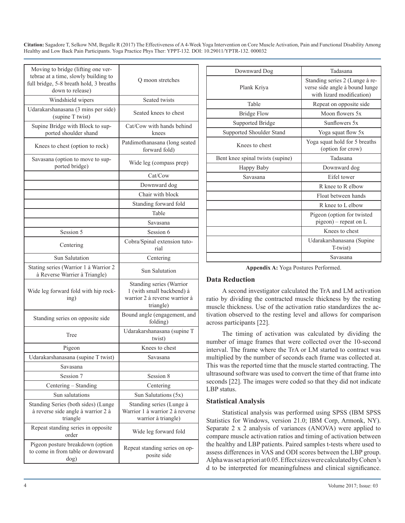| Moving to bridge (lifting one ver-<br>tebrae at a time, slowly building to<br>full bridge, 5-8 breath hold, 3 breaths<br>down to release) | Q moon stretches                                                                                    |
|-------------------------------------------------------------------------------------------------------------------------------------------|-----------------------------------------------------------------------------------------------------|
| Windshield wipers                                                                                                                         | Seated twists                                                                                       |
| Udarakarshanasana (3 mins per side)<br>(supine T twist)                                                                                   | Seated knees to chest                                                                               |
| Supine Bridge with Block to sup-<br>ported shoulder shand                                                                                 | Cat/Cow with hands behind<br>knees                                                                  |
| Knees to chest (option to rock)                                                                                                           | Patdimothanasana (long seated<br>forward fold)                                                      |
| Savasana (option to move to sup-<br>ported bridge)                                                                                        | Wide leg (compass prep)                                                                             |
|                                                                                                                                           | Cat/Cow                                                                                             |
|                                                                                                                                           | Downward dog                                                                                        |
|                                                                                                                                           | Chair with block                                                                                    |
|                                                                                                                                           | Standing forward fold                                                                               |
|                                                                                                                                           | Table                                                                                               |
|                                                                                                                                           | Savasana                                                                                            |
| Session 5                                                                                                                                 | Session 6                                                                                           |
| Centering                                                                                                                                 | Cobra/Spinal extension tuto-<br>rial                                                                |
| <b>Sun Salutation</b>                                                                                                                     | Centering                                                                                           |
| Stating series (Warrior 1 à Warrior 2<br>à Reverse Warrier à Triangle)                                                                    | <b>Sun Salutation</b>                                                                               |
| Wide leg forward fold with hip rock-<br>ing)                                                                                              | Standing series (Warrior<br>1 (with small backbend) à<br>warrior 2 à reverse warrior à<br>triangle) |
| Standing series on opposite side                                                                                                          | Bound angle (engagement, and<br>folding)                                                            |
| Tree                                                                                                                                      | Udarakarshanasana (supine T<br>twist)                                                               |
| Pigeon                                                                                                                                    | Knees to chest                                                                                      |
| Udarakarshanasana (supine T twist)                                                                                                        | Savasana                                                                                            |
| Savasana                                                                                                                                  |                                                                                                     |
| Session 7                                                                                                                                 | Session 8                                                                                           |
| Centering - Standing                                                                                                                      | Centering                                                                                           |
| Sun salutations                                                                                                                           | Sun Salutations (5x)                                                                                |
| Standing Series (both sides) (Lunge<br>à reverse side angle à warrior 2 à<br>triangle                                                     | Standing series (Lunge à<br>Warrior 1 à warrior 2 à reverse<br>warrior à triangle)                  |
| Repeat standing series in opposite<br>order                                                                                               | Wide leg forward fold                                                                               |
| Pigeon posture breakdown (option<br>to come in from table or downward<br>dog)                                                             | Repeat standing series on op-<br>posite side                                                        |

| Downward Dog                     | Tadasana                                                                                      |  |
|----------------------------------|-----------------------------------------------------------------------------------------------|--|
| Plank Kriva                      | Standing series 2 (Lunge à re-<br>verse side angle à bound lunge<br>with lizard modification) |  |
| Table                            | Repeat on opposite side.                                                                      |  |
| <b>Bridge Flow</b>               | Moon flowers 5x                                                                               |  |
| Supported Bridge                 | Sunflowers 5x                                                                                 |  |
| Supported Shoulder Stand         | Yoga squat flow 5x                                                                            |  |
| Knees to chest                   | Yoga squat hold for 5 breaths<br>(option for crow)                                            |  |
| Bent knee spinal twists (supine) | Tadasana                                                                                      |  |
| Happy Baby                       | Downward dog                                                                                  |  |
| Savasana                         | Eifel tower                                                                                   |  |
|                                  | R knee to R elbow                                                                             |  |
|                                  | Float between hands                                                                           |  |
|                                  | R knee to L elbow                                                                             |  |
|                                  | Pigeon (option for twisted<br>pigeon) – repeat on L                                           |  |
|                                  | Knees to chest                                                                                |  |
|                                  | Udarakarshanasana (Supine<br>T-twist)                                                         |  |
|                                  | Savasana                                                                                      |  |

**Appendix A:** Yoga Postures Performed.

#### **Data Reduction**

A second investigator calculated the TrA and LM activation ratio by dividing the contracted muscle thickness by the resting muscle thickness. Use of the activation ratio standardizes the activation observed to the resting level and allows for comparison across participants [22].

The timing of activation was calculated by dividing the number of image frames that were collected over the 10-second interval. The frame where the TrA or LM started to contract was multiplied by the number of seconds each frame was collected at. This was the reported time that the muscle started contracting. The ultrasound software was used to convert the time of that frame into seconds [22]. The images were coded so that they did not indicate LBP status.

#### **Statistical Analysis**

Statistical analysis was performed using SPSS (IBM SPSS Statistics for Windows, version 21.0; IBM Corp, Armonk, NY). Separate 2 x 2 analysis of variances (ANOVA) were applied to compare muscle activation ratios and timing of activation between the healthy and LBP patients. Paired samples t-tests where used to assess differences in VAS and ODI scores between the LBP group. Alpha was set a priori at 0.05. Effect sizes were calculated by Cohen's d to be interpreted for meaningfulness and clinical significance.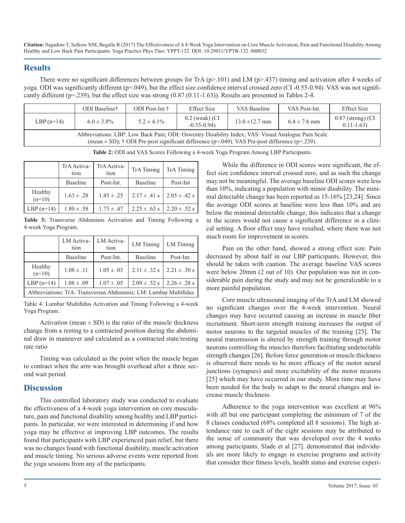### **Results**

There were no significant differences between groups for TrA ( $p$ >.101) and LM ( $p$ >.437) timing and activation after 4 weeks of yoga. ODI was significantly different (p=.049), but the effect size confidence interval crossed zero (CI -0.55-0.94). VAS was not significantly different ( $p=239$ ), but the effect size was strong  $(0.87 (0.11-1.63))$ . Results are presented in Tables 2-4.

|                                                                                                                                                                                                                   | ODI Baseline†   | ODI Post-Int. <sup>†</sup> | <b>Effect Size</b>                 | VAS Baseline       | VAS Post-Int.    | <b>Effect Size</b>                   |
|-------------------------------------------------------------------------------------------------------------------------------------------------------------------------------------------------------------------|-----------------|----------------------------|------------------------------------|--------------------|------------------|--------------------------------------|
| LBP $(n=14)$                                                                                                                                                                                                      | $6.0 \pm 3.8\%$ | $5.2 \pm 4.1\%$            | $0.2$ (weak) (CI<br>$-0.55 - 0.94$ | $13.0 \pm 12.7$ mm | $6.4 \pm 7.6$ mm | $0.87$ (strong) (CI<br>$0.11 - 1.63$ |
| Abbreviations: LBP: Low Back Pain; ODI: Oswestry Disability Index; VAS: Visual Analogue Pain Scale<br>(mean $\pm$ SD); $\uparrow$ ODI Pre-post significant difference (p=.049). VAS Pre-post difference (p=.239). |                 |                            |                                    |                    |                  |                                      |

**Table 2:** ODI and VAS Scores Following a 4-week Yoga Program Among LBP Participants.

|                     | TrA Activa-<br>tion | TrA Activa-<br>tion | <b>TrA</b> Timing | <b>TrA</b> Timing |
|---------------------|---------------------|---------------------|-------------------|-------------------|
|                     | <b>Baseline</b>     | Post-Int.           | <b>Baseline</b>   | Post-Int          |
| Healthy<br>$(n=10)$ | $1.63 \pm .28$      | $1.45 \pm .25$      | $2.17 \pm .41$ s  | $2.05 \pm .42$ s  |
| LBP $(n=14)$        | $1.80 \pm .58$      | $1.73 \pm .47$      | $2.25 \pm .63$ s  | $2.20 \pm .52$ s  |

**Table 3:** Transverse Abdominis Activation and Timing Following a 4-week Yoga Program.

|                                                                  | LM Activa-<br>tion | LM Activa-<br>tion | <b>LM</b> Timing | LM Timing        |
|------------------------------------------------------------------|--------------------|--------------------|------------------|------------------|
|                                                                  | <b>Baseline</b>    | Post-Int.          | <b>Baseline</b>  | Post-Int.        |
| Healthy<br>$(n=10)$                                              | $1.08 \pm .11$     | $1.05 \pm .03$     | $2.11 \pm .32$ s | $2.21 \pm .30$ s |
| LBP $(n=14)$                                                     | $1.08 \pm .09$     | $1.07 \pm .05$     | $2.09 \pm .52$ s | $2.26 \pm .28$ s |
| Abbreviations: TrA: Transversus Abdominis: LM: Lumbar Multifidus |                    |                    |                  |                  |

Table 4: Lumbar Multifidus Activation and Timing Following a 4-week Yoga Program.

Activation (mean  $\pm$  SD) is the ratio of the muscle thickness change from a resting to a contracted position during the abdominal draw in maneuver and calculated as a contracted state/resting rate ratio

Timing was calculated as the point when the muscle began to contract when the arm was brought overhead after a three second wait period.

## **Discussion**

This controlled laboratory study was conducted to evaluate the effectiveness of a 4-week yoga intervention on core musculature, pain and functional disability among healthy and LBP participants. In particular, we were interested in determining if and how yoga may be effective at improving LBP outcomes. The results found that participants with LBP experienced pain relief, but there was no changes found with functional disability, muscle activation and muscle timing. No serious adverse events were reported from the yoga sessions from any of the participants.

While the difference in ODI scores were significant, the effect size confidence interval crossed zero, and as such the change may not be meaningful. The average baseline ODI scores were less than 10%, indicating a population with minor disability. The minimal detectable change has been reported as 15-16% [23,24]. Since the average ODI scores at baseline were less than 10% and are below the minimal detectable change, this indicates that a change in the scores would not cause a significant difference in a clinical setting. A floor effect may have resulted, where there was not much room for improvement in scores.

Pain on the other hand, showed a strong effect size. Pain decreased by about half in our LBP participants. However, this should be taken with caution. The average baseline VAS scores were below 20mm (2 out of 10). Our population was not in considerable pain during the study and may not be generalizable to a more painful population.

Core muscle ultrasound imaging of the TrA and LM showed no significant changes over the 4-week intervention. Neural changes may have occurred causing an increase in muscle fiber recruitment. Short-term strength training increases the output of motor neurons to the targeted muscles of the training [25]. The neural transmission is altered by strength training through motor neurons controlling the muscles therefore facilitating undetectable strength changes [26]. Before force generation or muscle thickness is observed there needs to be more efficacy of the motor neural junctions (synapses) and more excitability of the motor neurons [25] which may have occurred in our study. More time may have been needed for the body to adapt to the neural changes and increase muscle thickness.

Adherence to the yoga intervention was excellent at 96% with all but one participant completing the minimum of 7 of the 8 classes conducted (68% completed all 8 sessions). The high attendance rate to each of the eight sessions may be attributed to the sense of community that was developed over the 4 weeks among participants. Slade et al [27]. demonstrated that individuals are more likely to engage in exercise programs and activity that consider their fitness levels, health status and exercise experi-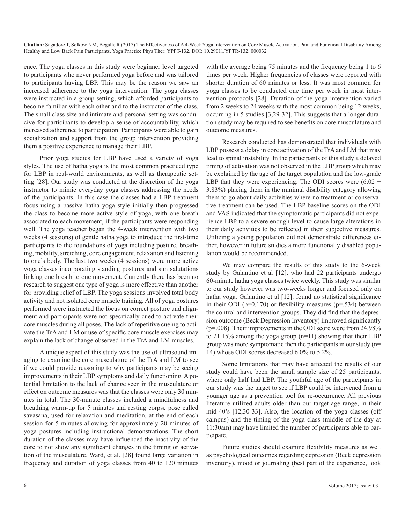ence. The yoga classes in this study were beginner level targeted to participants who never performed yoga before and was tailored to participants having LBP. This may be the reason we saw an increased adherence to the yoga intervention. The yoga classes were instructed in a group setting, which afforded participants to become familiar with each other and to the instructor of the class. The small class size and intimate and personal setting was conducive for participants to develop a sense of accountability, which increased adherence to participation. Participants were able to gain socialization and support from the group intervention providing them a positive experience to manage their LBP.

Prior yoga studies for LBP have used a variety of yoga styles. The use of hatha yoga is the most common practiced type for LBP in real-world environments, as well as therapeutic setting [28]. Our study was conducted at the discretion of the yoga instructor to mimic everyday yoga classes addressing the needs of the participants. In this case the classes had a LBP treatment focus using a passive hatha yoga style initially then progressed the class to become more active style of yoga, with one breath associated to each movement, if the participants were responding well. The yoga teacher began the 4-week intervention with two weeks (4 sessions) of gentle hatha yoga to introduce the first-time participants to the foundations of yoga including posture, breathing, mobility, stretching, core engagement, relaxation and listening to one's body. The last two weeks (4 sessions) were more active yoga classes incorporating standing postures and sun salutations linking one breath to one movement. Currently there has been no research to suggest one type of yoga is more effective than another for providing relief of LBP. The yoga sessions involved total body activity and not isolated core muscle training. All of yoga postures performed were instructed the focus on correct posture and alignment and participants were not specifically cued to activate their core muscles during all poses. The lack of repetitive cueing to activate the TrA and LM or use of specific core muscle exercises may explain the lack of change observed in the TrA and LM muscles.

A unique aspect of this study was the use of ultrasound imaging to examine the core musculature of the TrA and LM to see if we could provide reasoning to why participants may be seeing improvements in their LBP symptoms and daily functioning. A potential limitation to the lack of change seen in the musculature or effect on outcome measures was that the classes were only 30 minutes in total. The 30-minute classes included a mindfulness and breathing warm-up for 5 minutes and resting corpse pose called savasana, used for relaxation and meditation, at the end of each session for 5 minutes allowing for approximately 20 minutes of yoga postures including instructional demonstrations. The short duration of the classes may have influenced the inactivity of the core to not show any significant changes in the timing or activation of the musculature. Ward, et al. [28] found large variation in frequency and duration of yoga classes from 40 to 120 minutes

with the average being 75 minutes and the frequency being 1 to 6 times per week. Higher frequencies of classes were reported with shorter duration of 60 minutes or less. It was most common for yoga classes to be conducted one time per week in most intervention protocols [28]. Duration of the yoga intervention varied from 2 weeks to 24 weeks with the most common being 12 weeks, occurring in 5 studies [3,29-32]. This suggests that a longer duration study may be required to see benefits on core musculature and outcome measures.

Research conducted has demonstrated that individuals with LBP possess a delay in core activation of the TrA and LM that may lead to spinal instability. In the participants of this study a delayed timing of activation was not observed in the LBP group which may be explained by the age of the target population and the low-grade LBP that they were experiencing. The ODI scores were  $(6.02 \pm 1)$ 3.83%) placing them in the minimal disability category allowing them to go about daily activities where no treatment or conservative treatment can be used. The LBP baseline scores on the ODI and VAS indicated that the symptomatic participants did not experience LBP to a severe enough level to cause large alterations in their daily activities to be reflected in their subjective measures. Utilizing a young population did not demonstrate differences either, however in future studies a more functionally disabled population would be recommended.

We may compare the results of this study to the 6-week study by Galantino et al [12]. who had 22 participants undergo 60-minute hatha yoga classes twice weekly. This study was similar to our study however was two-weeks longer and focused only on hatha yoga. Galantino et al [12]. found no statistical significance in their ODI ( $p=0.170$ ) or flexibility measures ( $p=.534$ ) between the control and intervention groups. They did find that the depression outcome (Beck Depression Inventory) improved significantly  $(p=0.008)$ . Their improvements in the ODI score were from 24.98% to 21.15% among the yoga group (n=11) showing that their LBP group was more symptomatic then the participants in our study (n= 14) whose ODI scores decreased 6.0% to 5.2%.

Some limitations that may have affected the results of our study could have been the small sample size of 25 participants, where only half had LBP. The youthful age of the participants in our study was the target to see if LBP could be intervened from a younger age as a prevention tool for re-occurrence. All previous literature utilized adults older than our target age range, in their mid-40's [12,30-33]. Also, the location of the yoga classes (off campus) and the timing of the yoga class (middle of the day at 11:30am) may have limited the number of participants able to participate.

Future studies should examine flexibility measures as well as psychological outcomes regarding depression (Beck depression inventory), mood or journaling (best part of the experience, look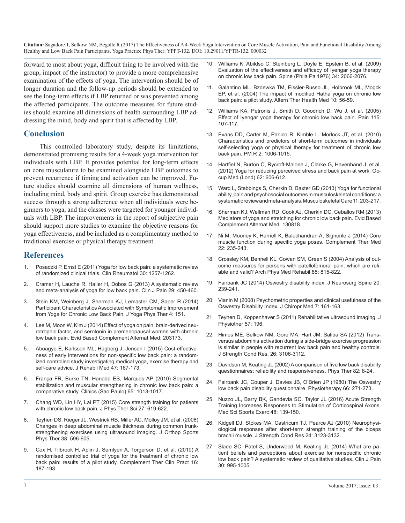forward to most about yoga, difficult thing to be involved with the group, impact of the instructor) to provide a more comprehensive examination of the effects of yoga. The intervention should be of longer duration and the follow-up periods should be extended to see the long-term effects if LBP returned or was prevented among the affected participants. The outcome measures for future studies should examine all dimensions of health surrounding LBP addressing the mind, body and spirit that is affected by LBP.

## **Conclusion**

This controlled laboratory study, despite its limitations, demonstrated promising results for a 4-week yoga intervention for individuals with LBP. It provides potential for long-term effects [on core musculature to be examined alongside LBP outcomes to](https://www.ncbi.nlm.nih.gov/pubmed/23012344)  prevent recurrence if timing and activation can be improved. Future studies should examine all dimensions of human wellness, [including mind, body and spirit. Group exercise has demonstrated](https://www.ncbi.nlm.nih.gov/pubmed/23300142)  success through a strong adherence when all individuals were beginners to yoga, and the classes were targeted for younger individ[uals with LBP. The improvements in the report of subjective pain](https://www.ncbi.nlm.nih.gov/pmc/articles/PMC3652191/)  should support more studies to examine the objective reasons for yoga effectiveness, and be included as a complimentary method to [traditional exercise or physical therapy treatment.](https://www.ncbi.nlm.nih.gov/pubmed/24731894) 

## **References**

- 1. [Posadzki P, Ernst E \(2011\) Yoga for low back pain: a systematic review](https://www.ncbi.nlm.nih.gov/pubmed/21590293)  [of randomized clinical trials. Clin Rheumatol 30: 1257-1262](https://www.ncbi.nlm.nih.gov/pubmed/21590293).
- 2. [Cramer H, Lauche R, Haller H, Dobos G \(2013\) A systematic review](https://www.ncbi.nlm.nih.gov/pubmed/23246998)  [and meta-analysis of yoga for low back pain. Clin J Pain 29: 450-460](https://www.ncbi.nlm.nih.gov/pubmed/23246998)[.](https://www.ncbi.nlm.nih.gov/pubmed/24266676)
- 3. [Stein KM, Weinberg J, Sherman KJ, Lemaster CM, Saper R \(2014\)](https://www.ncbi.nlm.nih.gov/pubmed/25401042)  [Participant Characteristics Associated with Symptomatic Improvement](https://www.ncbi.nlm.nih.gov/pubmed/25401042) [from Yoga for Chronic Low Back Pain. J Yoga Phys Ther 4: 151.](https://www.ncbi.nlm.nih.gov/pubmed/25401042)
- 4. [Lee M, Moon W, Kim J \(2014\) Effect of yoga on pain, brain-derived neu](https://www.ncbi.nlm.nih.gov/pubmed/25120574)[rotrophic factor, and serotonin in premenopausal women with chronic](https://www.ncbi.nlm.nih.gov/pubmed/25120574)  [low back pain. Evid Based Complement Alternat Med: 203173](https://www.ncbi.nlm.nih.gov/pubmed/25120574).
- 5. [Aboagye E, Karlsson ML, Hagberg J, Jensen I \(2015\) Cost-effective](https://www.ncbi.nlm.nih.gov/pubmed/25403347)[ness of early interventions for non-specific low back pain: a random](https://www.ncbi.nlm.nih.gov/pubmed/25403347)[ized controlled study investigating medical yoga, exercise therapy and](https://www.ncbi.nlm.nih.gov/pubmed/25403347)  [self-care advice. J Rehabil Med 47: 167-173.](https://www.ncbi.nlm.nih.gov/pubmed/25403347)
- 6. [França FR, Burke TN, Hanada ES, Marques AP \(2010\) Segmental](https://www.ncbi.nlm.nih.gov/pmc/articles/PMC2972594/)  [stabilization and muscular strengthening in chronic low back pain: a](https://www.ncbi.nlm.nih.gov/pmc/articles/PMC2972594/)  [comparative study. Clinics \(Sao Paulo\) 65: 1013-1017.](https://www.ncbi.nlm.nih.gov/pmc/articles/PMC2972594/)
- 7. [Chang WD, Lin HY, Lai PT \(2015\) Core strength training for patients](https://www.ncbi.nlm.nih.gov/pubmed/25931693)  [with chronic low back pain. J Phys Ther Sci 27: 619-622](https://www.ncbi.nlm.nih.gov/pubmed/25931693).
- 8. [Teyhen DS, Rieger JL, Westrick RB, Miller AC, Molloy JM, et al. \(2008\)](https://www.ncbi.nlm.nih.gov/pubmed/18827329)  [Changes in deep abdominal muscle thickness during common trunk](https://www.ncbi.nlm.nih.gov/pubmed/18827329)[strengthening exercises using ultrasound imaging. J Orthop Sports](https://www.ncbi.nlm.nih.gov/pubmed/18827329)  [Phys Ther 38: 596-605](https://www.ncbi.nlm.nih.gov/pubmed/18827329).
- 9. [Cox H, Tilbrook H, Aplin J, Semlyen A, Torgerson D, et al. \(2010\) A](https://www.ncbi.nlm.nih.gov/pubmed/20920800) [randomised controlled trial of yoga for the treatment of chronic low](https://www.ncbi.nlm.nih.gov/pubmed/20920800) [back pain: results of a pilot study. Complement Ther Clin Pract 16:](https://www.ncbi.nlm.nih.gov/pubmed/20920800)  [187-193](https://www.ncbi.nlm.nih.gov/pubmed/20920800).
- 10. [Williams K, Abildso C, Steinberg L, Doyle E, Epstein B, et al. \(2009\)](https://www.ncbi.nlm.nih.gov/pubmed/19701112)  [Evaluation of the effectiveness and efficacy of Iyengar yoga therapy](https://www.ncbi.nlm.nih.gov/pubmed/19701112)  [on chronic low back pain. Spine \(Phila Pa 1976\) 34: 2066-2076.](https://www.ncbi.nlm.nih.gov/pubmed/19701112)
- 11. [Galantino ML, Bzdewka TM, Eissler-Russo JL, Holbrook ML, Mogck](https://www.ncbi.nlm.nih.gov/pubmed/15055095) [EP, et al. \(2004\) The impact of modified Hatha yoga on chronic low](https://www.ncbi.nlm.nih.gov/pubmed/15055095)  [back pain: a pilot study. Altern Ther Health Med 10: 56-59](https://www.ncbi.nlm.nih.gov/pubmed/15055095).
- 12. [Williams KA, Petronis J, Smith D, Goodrich D, Wu J, et al. \(2005\)](https://www.ncbi.nlm.nih.gov/pubmed/15836974) [Effect of Iyengar yoga therapy for chronic low back pain. Pain 115:](https://www.ncbi.nlm.nih.gov/pubmed/15836974)  [107-117.](https://www.ncbi.nlm.nih.gov/pubmed/15836974)
- 13. [Evans DD, Carter M, Panico R, Kimble L, Morlock JT, et al. \(2010\)](https://www.ncbi.nlm.nih.gov/pubmed/21093836)  [Characteristics and predictors of short-term outcomes in individuals](https://www.ncbi.nlm.nih.gov/pubmed/21093836)  [self-selecting yoga or physical therapy for treatment of chronic low](https://www.ncbi.nlm.nih.gov/pubmed/21093836)  [back pain. PM R 2: 1006-1015](https://www.ncbi.nlm.nih.gov/pubmed/21093836).
- 14. [Hartfiel N, Burton C, Rycroft-Malone J, Clarke G, Havenhand J, et al.](https://www.ncbi.nlm.nih.gov/pubmed/23012344)  (2012) Yoga for reducing perceived stress and back pain at work. Oc[cup Med \(Lond\) 62: 606-612.](https://www.ncbi.nlm.nih.gov/pubmed/23012344)
- 15. [Ward L, Stebbings S, Cherkin D, Baxter GD \(2013\) Yoga for functional](https://www.ncbi.nlm.nih.gov/pubmed/23300142)  ability, pain and psychosocial outcomes in musculoskeletal conditions: a [systematic review and meta-analysis. Musculoskeletal Care 11: 203-217.](https://www.ncbi.nlm.nih.gov/pubmed/23300142)
- 16. [Sherman KJ, Wellman RD, Cook AJ, Cherkin DC, Ceballos RM \(2013\)](https://www.ncbi.nlm.nih.gov/pmc/articles/PMC3652191/) Mediators of yoga and stretching for chronic low back pain. Evid Based [Complement Alternat Med: 130818.](https://www.ncbi.nlm.nih.gov/pmc/articles/PMC3652191/)
- 17. [Ni M, Mooney K, Harriell K, Balachandran A, Signorile J \(2014\) Core](https://www.ncbi.nlm.nih.gov/pubmed/24731894)  muscle function during specific yoga poses. Complement Ther Med [22: 235-243.](https://www.ncbi.nlm.nih.gov/pubmed/24731894)
- 18. [Crossley KM, Bennell KL, Cowan SM, Green S \(2004\) Analysis of out](https://www.ncbi.nlm.nih.gov/pubmed/15129407)[come measures for persons with patellofemoral pain: which are reli](https://www.ncbi.nlm.nih.gov/pubmed/15129407)[able and valid? Arch Phys Med Rehabil 85: 815-822](https://www.ncbi.nlm.nih.gov/pubmed/15129407).
- 19. [Fairbank JC \(2014\) Oswestry disability index. J Neurosurg Spine 20:](https://www.ncbi.nlm.nih.gov/pubmed/24266676)  239-241.
- 20. [Vianin M \(2008\) Psychometric properties and clinical usefulness of the](https://www.ncbi.nlm.nih.gov/pmc/articles/PMC2697602/)  Oswestry Disability Index. J Chiropr Med 7: 161-163.
- 21. [Teyhen D, Koppenhaver S \(2011\) Rehabilitative ultrasound imaging. J](http://www.jospt.org/doi/pdf/10.2519/jospt.2007.2350?code=jospt-site)  Physiother 57: 196.
- 22. [Himes ME, Selkow NM, Gore MA, Hart JM, Saliba SA \(2012\) Trans](https://www.ncbi.nlm.nih.gov/pubmed/22207256)[versus abdominis activation during a side-bridge exercise progression](https://www.ncbi.nlm.nih.gov/pubmed/22207256)  [is similar in people with recurrent low back pain and healthy controls.](https://www.ncbi.nlm.nih.gov/pubmed/22207256) [J Strength Cond Res. 26: 3106-3112.](https://www.ncbi.nlm.nih.gov/pubmed/22207256)
- 23. [Davidson M, Keating JL \(2002\) A comparison of five low back disability](https://www.ncbi.nlm.nih.gov/pubmed/11784274)  [questionnaires: reliability and responsiveness. Phys Ther 82: 8-24](https://www.ncbi.nlm.nih.gov/pubmed/11784274).
- 24. [Fairbank JC, Couper J, Davies JB, O'Brien JP \(1980\) The Oswestry](https://www.ncbi.nlm.nih.gov/pubmed/6450426)  [low back pain disability questionnaire. Physiotherapy 66: 271-273.](https://www.ncbi.nlm.nih.gov/pubmed/6450426)
- 25. [Nuzzo JL, Barry BK, Gandevia SC, Taylor JL \(2016\) Acute Strength](https://www.ncbi.nlm.nih.gov/pubmed/26258855)  [Training Increases Responses to Stimulation of Corticospinal Axons.](https://www.ncbi.nlm.nih.gov/pubmed/26258855)  [Med Sci Sports Exerc 48: 139-150.](https://www.ncbi.nlm.nih.gov/pubmed/26258855)
- 26. [Kidgell DJ, Stokes MA, Castricum TJ, Pearce AJ \(2010\) Neurophysi](https://www.ncbi.nlm.nih.gov/pubmed/20881507)[ological responses after short-term strength training of the biceps](https://www.ncbi.nlm.nih.gov/pubmed/20881507)  [brachii muscle. J Strength Cond Res 24: 3123-3132.](https://www.ncbi.nlm.nih.gov/pubmed/20881507)
- 27. [Slade SC, Patel S, Underwood M, Keating JL \(2014\) What are pa](https://www.ncbi.nlm.nih.gov/pubmed/24300225)[tient beliefs and perceptions about exercise for nonspecific chronic](https://www.ncbi.nlm.nih.gov/pubmed/24300225)  [low back pain? A systematic review of qualitative studies. Clin J Pain](https://www.ncbi.nlm.nih.gov/pubmed/24300225)  [30: 995-1005.](https://www.ncbi.nlm.nih.gov/pubmed/24300225)